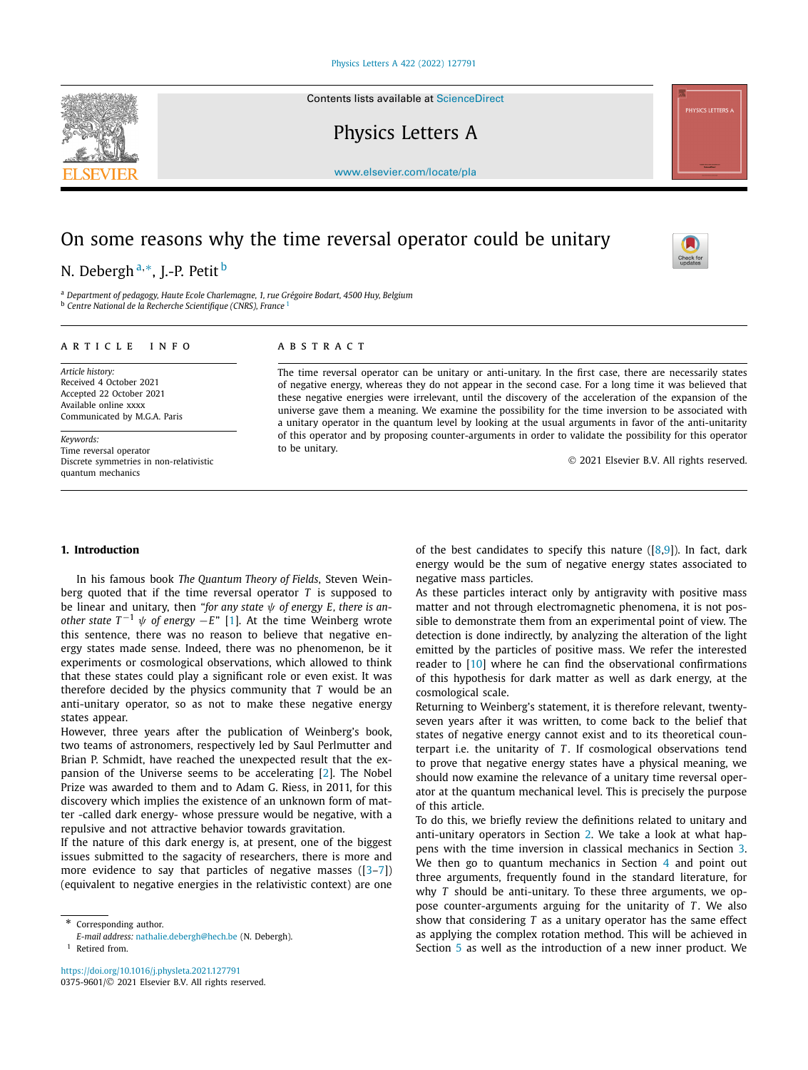Contents lists available at [ScienceDirect](http://www.ScienceDirect.com/)

Physics Letters A



# On some reasons why the time reversal operator could be unitary

## N. Debergh <sup>a</sup>*,*∗, J.-P. Petit <sup>b</sup>

<sup>a</sup> *Department of pedagogy, Haute Ecole Charlemagne, 1, rue Grégoire Bodart, 4500 Huy, Belgium* <sup>b</sup> *Centre National de la Recherche Scientifique (CNRS), France* <sup>1</sup>

#### A R T I C L E I N F O A B S T R A C T

*Article history:* Received 4 October 2021 Accepted 22 October 2021 Available online xxxx Communicated by M.G.A. Paris

*Keywords:* Time reversal operator Discrete symmetries in non-relativistic quantum mechanics

The time reversal operator can be unitary or anti-unitary. In the first case, there are necessarily states of negative energy, whereas they do not appear in the second case. For a long time it was believed that these negative energies were irrelevant, until the discovery of the acceleration of the expansion of the universe gave them a meaning. We examine the possibility for the time inversion to be associated with a unitary operator in the quantum level by looking at the usual arguments in favor of the anti-unitarity of this operator and by proposing counter-arguments in order to validate the possibility for this operator to be unitary.

© 2021 Elsevier B.V. All rights reserved.

### **1. Introduction**

In his famous book *The Quantum Theory of Fields*, Steven Weinberg quoted that if the time reversal operator *T* is supposed to be linear and unitary, then "*for any state ψ of energy E, there is another state*  $T^{-1}$   $\psi$  *of energy* −*E*" [\[1\]](#page-4-0). At the time Weinberg wrote this sentence, there was no reason to believe that negative energy states made sense. Indeed, there was no phenomenon, be it experiments or cosmological observations, which allowed to think that these states could play a significant role or even exist. It was therefore decided by the physics community that *T* would be an anti-unitary operator, so as not to make these negative energy states appear.

However, three years after the publication of Weinberg's book, two teams of astronomers, respectively led by Saul Perlmutter and Brian P. Schmidt, have reached the unexpected result that the expansion of the Universe seems to be accelerating [\[2\]](#page-4-0). The Nobel Prize was awarded to them and to Adam G. Riess, in 2011, for this discovery which implies the existence of an unknown form of matter -called dark energy- whose pressure would be negative, with a repulsive and not attractive behavior towards gravitation.

If the nature of this dark energy is, at present, one of the biggest issues submitted to the sagacity of researchers, there is more and more evidence to say that particles of negative masses  $([3-7])$ (equivalent to negative energies in the relativistic context) are one

of the best candidates to specify this nature  $([8,9])$  $([8,9])$  $([8,9])$ . In fact, dark energy would be the sum of negative energy states associated to negative mass particles.

As these particles interact only by antigravity with positive mass matter and not through electromagnetic phenomena, it is not possible to demonstrate them from an experimental point of view. The detection is done indirectly, by analyzing the alteration of the light emitted by the particles of positive mass. We refer the interested reader to [[10](#page-4-0)] where he can find the observational confirmations of this hypothesis for dark matter as well as dark energy, at the cosmological scale.

Returning to Weinberg's statement, it is therefore relevant, twentyseven years after it was written, to come back to the belief that states of negative energy cannot exist and to its theoretical counterpart i.e. the unitarity of *T* . If cosmological observations tend to prove that negative energy states have a physical meaning, we should now examine the relevance of a unitary time reversal operator at the quantum mechanical level. This is precisely the purpose of this article.

To do this, we briefly review the definitions related to unitary and anti-unitary operators in Section [2](#page-1-0). We take a look at what happens with the time inversion in classical mechanics in Section [3.](#page-1-0) We then go to quantum mechanics in Section [4](#page-1-0) and point out three arguments, frequently found in the standard literature, for why *T* should be anti-unitary. To these three arguments, we oppose counter-arguments arguing for the unitarity of *T*. We also show that considering *T* as a unitary operator has the same effect as applying the complex rotation method. This will be achieved in Section [5](#page-3-0) as well as the introduction of a new inner product. We





Corresponding author.

*E-mail address:* [nathalie.debergh@hech.be](mailto:nathalie.debergh@hech.be) (N. Debergh). <sup>1</sup> Retired from.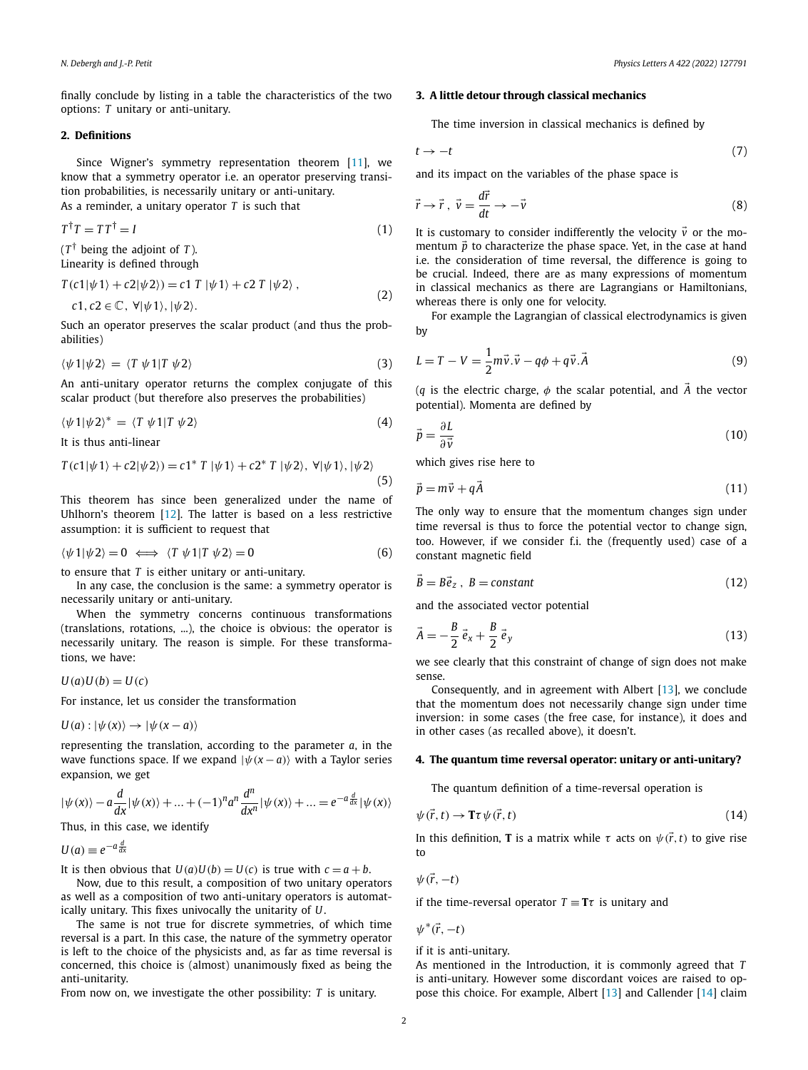<span id="page-1-0"></span>finally conclude by listing in a table the characteristics of the two options: *T* unitary or anti-unitary.

#### **2. Definitions**

Since Wigner's symmetry representation theorem [[11\]](#page-4-0), we know that a symmetry operator i.e. an operator preserving transition probabilities, is necessarily unitary or anti-unitary. As a reminder, a unitary operator *T* is such that

$$
T^{\dagger}T = TT^{\dagger} = I \tag{1}
$$

 $(T^{\dagger})$  being the adjoint of *T*).

Linearity is defined through

$$
T(c1|\psi 1\rangle + c2|\psi 2\rangle) = c1 T |\psi 1\rangle + c2 T |\psi 2\rangle ,
$$
  
\n
$$
c1, c2 \in \mathbb{C}, \forall |\psi 1\rangle, |\psi 2\rangle.
$$
 (2)

Such an operator preserves the scalar product (and thus the probabilities)

$$
\langle \psi 1 | \psi 2 \rangle = \langle T \psi 1 | T \psi 2 \rangle \tag{3}
$$

An anti-unitary operator returns the complex conjugate of this scalar product (but therefore also preserves the probabilities)

$$
\langle \psi 1 | \psi 2 \rangle^* = \langle T \psi 1 | T \psi 2 \rangle \tag{4}
$$

It is thus anti-linear

$$
T(c1|\psi 1\rangle + c2|\psi 2\rangle) = c1^* T |\psi 1\rangle + c2^* T |\psi 2\rangle, \ \forall |\psi 1\rangle, |\psi 2\rangle
$$
\n(5)

This theorem has since been generalized under the name of Uhlhorn's theorem [\[12](#page-4-0)]. The latter is based on a less restrictive assumption: it is sufficient to request that

$$
\langle \psi 1 | \psi 2 \rangle = 0 \iff \langle T \psi 1 | T \psi 2 \rangle = 0 \tag{6}
$$

to ensure that *T* is either unitary or anti-unitary.

In any case, the conclusion is the same: a symmetry operator is necessarily unitary or anti-unitary.

When the symmetry concerns continuous transformations (translations, rotations, ...), the choice is obvious: the operator is necessarily unitary. The reason is simple. For these transformations, we have:

 $U(a)U(b) = U(c)$ 

For instance, let us consider the transformation

$$
U(a): |\psi(x)\rangle \to |\psi(x-a)\rangle
$$

representing the translation, according to the parameter *a*, in the wave functions space. If we expand  $|\psi(x-a)\rangle$  with a Taylor series expansion, we get

$$
|\psi(x)\rangle - a\frac{d}{dx}|\psi(x)\rangle + \dots + (-1)^n a^n \frac{d^n}{dx^n}|\psi(x)\rangle + \dots = e^{-a\frac{d}{dx}|\psi(x)\rangle}
$$

Thus, in this case, we identify

$$
U(a) \equiv e^{-a\frac{d}{dx}}
$$

It is then obvious that  $U(a)U(b) = U(c)$  is true with  $c = a + b$ .

Now, due to this result, a composition of two unitary operators as well as a composition of two anti-unitary operators is automatically unitary. This fixes univocally the unitarity of *U*.

The same is not true for discrete symmetries, of which time reversal is a part. In this case, the nature of the symmetry operator is left to the choice of the physicists and, as far as time reversal is concerned, this choice is (almost) unanimously fixed as being the anti-unitarity.

From now on, we investigate the other possibility: *T* is unitary.

### **3. A little detour through classical mechanics**

The time inversion in classical mechanics is defined by

$$
t \to -t \tag{7}
$$

and its impact on the variables of the phase space is

$$
\vec{r} \to \vec{r}, \ \vec{v} = \frac{d\vec{r}}{dt} \to -\vec{v} \tag{8}
$$

It is customary to consider indifferently the velocity  $\vec{v}$  or the momentum  $\vec{p}$  to characterize the phase space. Yet, in the case at hand i.e. the consideration of time reversal, the difference is going to be crucial. Indeed, there are as many expressions of momentum in classical mechanics as there are Lagrangians or Hamiltonians, whereas there is only one for velocity.

For example the Lagrangian of classical electrodynamics is given by

$$
L = T - V = \frac{1}{2}m\vec{v}\cdot\vec{v} - q\phi + q\vec{v}\cdot\vec{A}
$$
 (9)

(*q* is the electric charge,  $\phi$  the scalar potential, and  $\vec{A}$  the vector potential). Momenta are defined by

$$
\vec{p} = \frac{\partial L}{\partial \vec{v}}\tag{10}
$$

which gives rise here to

$$
\vec{p} = m\vec{v} + q\vec{A} \tag{11}
$$

The only way to ensure that the momentum changes sign under time reversal is thus to force the potential vector to change sign, too. However, if we consider f.i. the (frequently used) case of a constant magnetic field

$$
\vec{B} = B\vec{e}_z, B = constant
$$
\n(12)

and the associated vector potential

$$
\vec{A} = -\frac{B}{2}\vec{e}_x + \frac{B}{2}\vec{e}_y
$$
\n(13)

we see clearly that this constraint of change of sign does not make sense.

Consequently, and in agreement with Albert [[13](#page-4-0)], we conclude that the momentum does not necessarily change sign under time inversion: in some cases (the free case, for instance), it does and in other cases (as recalled above), it doesn't.

#### **4. The quantum time reversal operator: unitary or anti-unitary?**

The quantum definition of a time-reversal operation is

$$
\psi(\vec{r},t) \to \mathbf{T}\tau \psi(\vec{r},t) \tag{14}
$$

In this definition, **T** is a matrix while  $\tau$  acts on  $\psi(\vec{r},t)$  to give rise to

$$
\psi(\vec{r},-t)
$$

if the time-reversal operator  $T \equiv T\tau$  is unitary and

*ψ*∗*(r,*−*t)*

if it is anti-unitary.

As mentioned in the Introduction, it is commonly agreed that *T* is anti-unitary. However some discordant voices are raised to oppose this choice. For example, Albert [\[13\]](#page-4-0) and Callender [\[14\]](#page-4-0) claim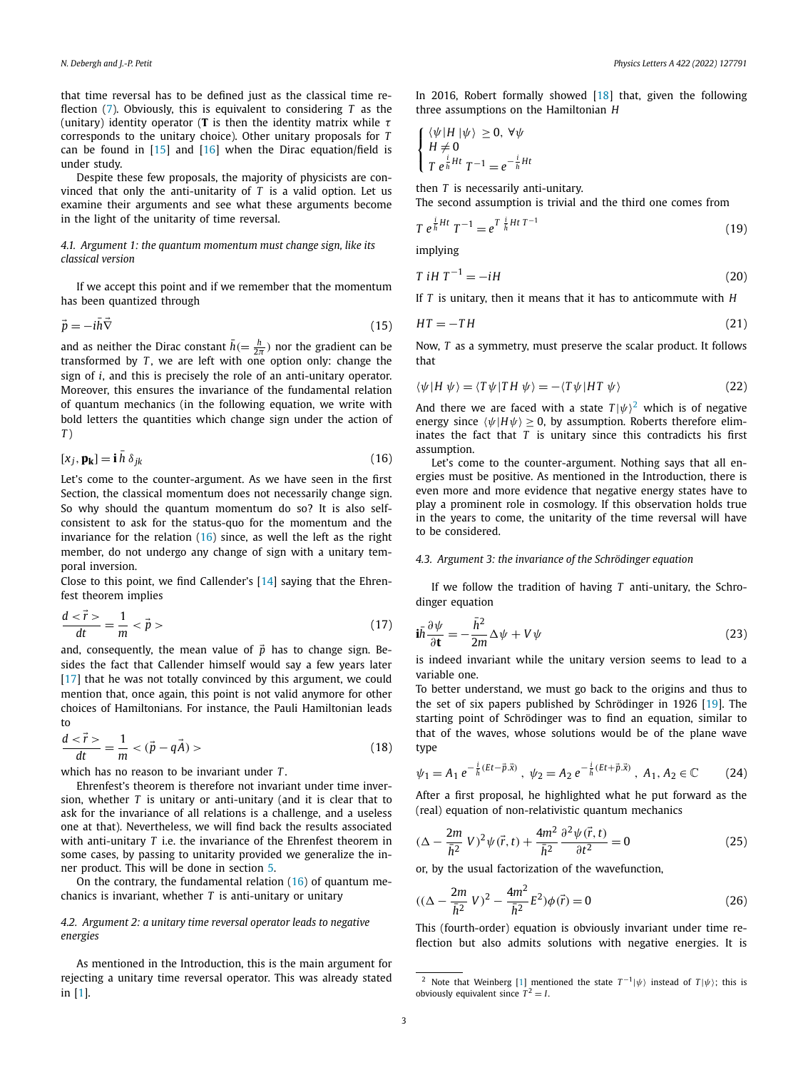<span id="page-2-0"></span>that time reversal has to be defined just as the classical time reflection [\(7\)](#page-1-0). Obviously, this is equivalent to considering *T* as the (unitary) identity operator (**T** is then the identity matrix while *τ* corresponds to the unitary choice). Other unitary proposals for *T* can be found in [\[15](#page-4-0)] and [[16\]](#page-4-0) when the Dirac equation/field is under study.

Despite these few proposals, the majority of physicists are convinced that only the anti-unitarity of *T* is a valid option. Let us examine their arguments and see what these arguments become in the light of the unitarity of time reversal.

### *4.1. Argument 1: the quantum momentum must change sign, like its classical version*

If we accept this point and if we remember that the momentum has been quantized through

$$
\vec{p} = -i\bar{h}\vec{\nabla}
$$
\n(15)

and as neither the Dirac constant  $\bar{h} (= \frac{h}{2\pi})$  nor the gradient can be transformed by  $T$ , we are left with one option only: change the sign of *i*, and this is precisely the role of an anti-unitary operator. Moreover, this ensures the invariance of the fundamental relation of quantum mechanics (in the following equation, we write with bold letters the quantities which change sign under the action of *T* )

$$
[x_j, \mathbf{p_k}] = \mathbf{i} \,\overline{h} \,\delta_{jk} \tag{16}
$$

Let's come to the counter-argument. As we have seen in the first Section, the classical momentum does not necessarily change sign. So why should the quantum momentum do so? It is also selfconsistent to ask for the status-quo for the momentum and the invariance for the relation (16) since, as well the left as the right member, do not undergo any change of sign with a unitary temporal inversion.

Close to this point, we find Callender's [\[14\]](#page-4-0) saying that the Ehrenfest theorem implies

$$
\frac{d\langle\vec{r}\rangle}{dt} = \frac{1}{m} \langle\vec{p}\rangle \tag{17}
$$

and, consequently, the mean value of  $\vec{p}$  has to change sign. Besides the fact that Callender himself would say a few years later [\[17\]](#page-4-0) that he was not totally convinced by this argument, we could mention that, once again, this point is not valid anymore for other choices of Hamiltonians. For instance, the Pauli Hamiltonian leads to

$$
\frac{d\langle\vec{r}\rangle}{dt} = \frac{1}{m} \langle(\vec{p} - q\vec{A})\rangle \tag{18}
$$

which has no reason to be invariant under *T* .

Ehrenfest's theorem is therefore not invariant under time inversion, whether *T* is unitary or anti-unitary (and it is clear that to ask for the invariance of all relations is a challenge, and a useless one at that). Nevertheless, we will find back the results associated with anti-unitary *T* i.e. the invariance of the Ehrenfest theorem in some cases, by passing to unitarity provided we generalize the inner product. This will be done in section [5.](#page-3-0)

On the contrary, the fundamental relation (16) of quantum mechanics is invariant, whether *T* is anti-unitary or unitary

#### *4.2. Argument 2: a unitary time reversal operator leads to negative energies*

As mentioned in the Introduction, this is the main argument for rejecting a unitary time reversal operator. This was already stated in [[1](#page-4-0)].

In 2016, Robert formally showed [[18](#page-4-0)] that, given the following three assumptions on the Hamiltonian *H*

$$
\begin{cases} \langle \psi | H | \psi \rangle \ge 0, \forall \psi \\ H \ne 0 \\ T e^{\frac{i}{h} H t} T^{-1} = e^{-\frac{i}{h} H t} \end{cases}
$$

then *T* is necessarily anti-unitary.

The second assumption is trivial and the third one comes from

$$
T e^{\frac{i}{\hbar}Ht} T^{-1} = e^{T \frac{i}{\hbar}Ht} T^{-1}
$$
\n(19)

implying

$$
T \, iH \, T^{-1} = -iH \tag{20}
$$

If *T* is unitary, then it means that it has to anticommute with *H*

$$
HT = -TH \tag{21}
$$

Now, *T* as a symmetry, must preserve the scalar product. It follows that

$$
\langle \psi | H \psi \rangle = \langle T \psi | TH \psi \rangle = -\langle T \psi | HT \psi \rangle \tag{22}
$$

And there we are faced with a state  $T |\psi\rangle^2$  which is of negative energy since  $\langle \psi | H \psi \rangle \ge 0$ , by assumption. Roberts therefore eliminates the fact that *T* is unitary since this contradicts his first assumption.

Let's come to the counter-argument. Nothing says that all energies must be positive. As mentioned in the Introduction, there is even more and more evidence that negative energy states have to play a prominent role in cosmology. If this observation holds true in the years to come, the unitarity of the time reversal will have to be considered.

#### *4.3. Argument 3: the invariance of the Schrödinger equation*

If we follow the tradition of having *T* anti-unitary, the Schrodinger equation

$$
i\bar{h}\frac{\partial\psi}{\partial t} = -\frac{\bar{h}^2}{2m}\Delta\psi + V\psi
$$
 (23)

is indeed invariant while the unitary version seems to lead to a variable one.

To better understand, we must go back to the origins and thus to the set of six papers published by Schrödinger in 1926 [\[19\]](#page-4-0). The starting point of Schrödinger was to find an equation, similar to that of the waves, whose solutions would be of the plane wave type

$$
\psi_1 = A_1 \, e^{-\frac{i}{\hbar}(Et - \vec{p}.\vec{x})} \,, \, \psi_2 = A_2 \, e^{-\frac{i}{\hbar}(Et + \vec{p}.\vec{x})} \,, \, A_1, A_2 \in \mathbb{C} \tag{24}
$$

After a first proposal, he highlighted what he put forward as the (real) equation of non-relativistic quantum mechanics

$$
(\Delta - \frac{2m}{\bar{h}^2} V)^2 \psi(\vec{r}, t) + \frac{4m^2}{\bar{h}^2} \frac{\partial^2 \psi(\vec{r}, t)}{\partial t^2} = 0
$$
 (25)

or, by the usual factorization of the wavefunction,

$$
((\Delta - \frac{2m}{\bar{h}^2} V)^2 - \frac{4m^2}{\bar{h}^2} E^2) \phi(\vec{r}) = 0
$$
 (26)

This (fourth-order) equation is obviously invariant under time reflection but also admits solutions with negative energies. It is

<sup>&</sup>lt;sup>2</sup> Note that Weinberg [[1](#page-4-0)] mentioned the state  $T^{-1}|\psi\rangle$  instead of  $T|\psi\rangle$ ; this is obviously equivalent since  $T^2 = I$ .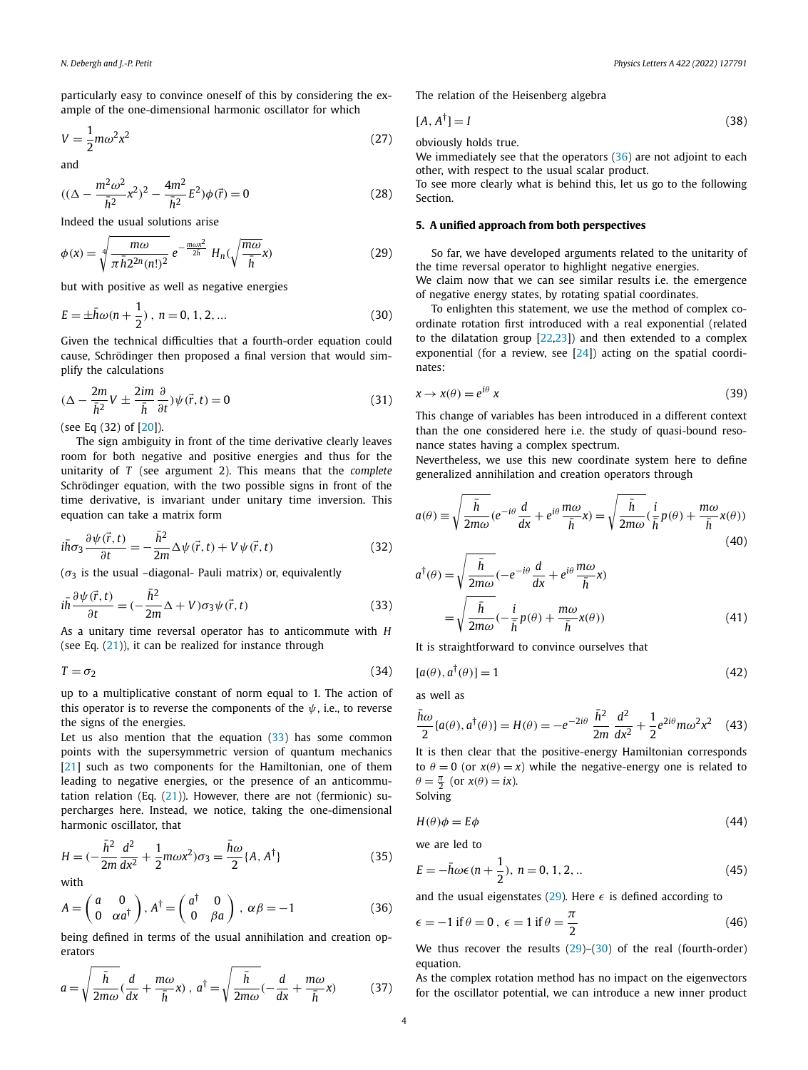<span id="page-3-0"></span>particularly easy to convince oneself of this by considering the example of the one-dimensional harmonic oscillator for which

$$
V = \frac{1}{2}m\omega^2 x^2\tag{27}
$$

and

$$
((\Delta - \frac{m^2 \omega^2}{\bar{h}^2} x^2)^2 - \frac{4m^2}{\bar{h}^2} E^2) \phi(\vec{r}) = 0
$$
 (28)

Indeed the usual solutions arise

$$
\phi(x) = \sqrt[4]{\frac{m\omega}{\pi\bar{h}2^{2n}(n!)^2}} e^{-\frac{m\omega x^2}{2\bar{h}}} H_n(\sqrt{\frac{m\omega}{\bar{h}}}x)
$$
(29)

but with positive as well as negative energies

$$
E = \pm \bar{h}\omega(n + \frac{1}{2}), \quad n = 0, 1, 2, \dots
$$
 (30)

Given the technical difficulties that a fourth-order equation could cause, Schrödinger then proposed a final version that would simplify the calculations

$$
(\Delta - \frac{2m}{\bar{h}^2}V \pm \frac{2im}{\bar{h}}\frac{\partial}{\partial t})\psi(\vec{r},t) = 0
$$
\n(31)

(see Eq (32) of [[20](#page-4-0)]).

The sign ambiguity in front of the time derivative clearly leaves room for both negative and positive energies and thus for the unitarity of *T* (see argument 2). This means that the *complete* Schrödinger equation, with the two possible signs in front of the time derivative, is invariant under unitary time inversion. This equation can take a matrix form

$$
i\bar{h}\sigma_3 \frac{\partial \psi(\vec{r},t)}{\partial t} = -\frac{\bar{h}^2}{2m} \Delta \psi(\vec{r},t) + V \psi(\vec{r},t)
$$
(32)

 $(\sigma_3)$  is the usual -diagonal- Pauli matrix) or, equivalently

$$
i\bar{h}\frac{\partial\psi(\vec{r},t)}{\partial t} = (-\frac{\bar{h}^2}{2m}\Delta + V)\sigma_3\psi(\vec{r},t)
$$
\n(33)

As a unitary time reversal operator has to anticommute with *H* (see Eq. [\(21\)](#page-2-0)), it can be realized for instance through

$$
T = \sigma_2 \tag{34}
$$

up to a multiplicative constant of norm equal to 1. The action of this operator is to reverse the components of the  $\psi$ , i.e., to reverse the signs of the energies.

Let us also mention that the equation  $(33)$  has some common points with the supersymmetric version of quantum mechanics [\[21\]](#page-4-0) such as two components for the Hamiltonian, one of them leading to negative energies, or the presence of an anticommutation relation (Eq.  $(21)$  $(21)$ ). However, there are not (fermionic) supercharges here. Instead, we notice, taking the one-dimensional harmonic oscillator, that

$$
H = \left(-\frac{\bar{h}^2}{2m}\frac{d^2}{dx^2} + \frac{1}{2}m\omega x^2\right)\sigma_3 = \frac{\bar{h}\omega}{2}\{A, A^{\dagger}\}\tag{35}
$$

with

$$
A = \begin{pmatrix} a & 0 \\ 0 & \alpha a^{\dagger} \end{pmatrix}, A^{\dagger} = \begin{pmatrix} a^{\dagger} & 0 \\ 0 & \beta a \end{pmatrix}, \ \alpha \beta = -1 \tag{36}
$$

being defined in terms of the usual annihilation and creation operators

$$
a = \sqrt{\frac{\bar{h}}{2m\omega}} \left(\frac{d}{dx} + \frac{m\omega}{\bar{h}}x\right), \ a^{\dagger} = \sqrt{\frac{\bar{h}}{2m\omega}} \left(-\frac{d}{dx} + \frac{m\omega}{\bar{h}}x\right) \tag{37}
$$

The relation of the Heisenberg algebra

$$
[A, A^{\dagger}] = I \tag{38}
$$

obviously holds true.

We immediately see that the operators (36) are not adjoint to each other, with respect to the usual scalar product.

To see more clearly what is behind this, let us go to the following Section.

### **5. A unified approach from both perspectives**

So far, we have developed arguments related to the unitarity of the time reversal operator to highlight negative energies. We claim now that we can see similar results i.e. the emergence of negative energy states, by rotating spatial coordinates.

To enlighten this statement, we use the method of complex coordinate rotation first introduced with a real exponential (related to the dilatation group [\[22,23](#page-4-0)]) and then extended to a complex exponential (for a review, see  $[24]$ ) acting on the spatial coordinates:

$$
x \to x(\theta) = e^{i\theta} x \tag{39}
$$

This change of variables has been introduced in a different context than the one considered here i.e. the study of quasi-bound resonance states having a complex spectrum.

Nevertheless, we use this new coordinate system here to define generalized annihilation and creation operators through

$$
a(\theta) \equiv \sqrt{\frac{\bar{h}}{2m\omega}} (e^{-i\theta} \frac{d}{dx} + e^{i\theta} \frac{m\omega}{\bar{h}} x) = \sqrt{\frac{\bar{h}}{2m\omega}} (\frac{i}{\bar{h}} p(\theta) + \frac{m\omega}{\bar{h}} x(\theta))
$$
(40)

$$
a^{\dagger}(\theta) = \sqrt{\frac{\bar{h}}{2m\omega}} \left( -e^{-i\theta} \frac{d}{dx} + e^{i\theta} \frac{m\omega}{\bar{h}} x \right)
$$

$$
= \sqrt{\frac{\bar{h}}{2m\omega}} \left( -\frac{i}{\bar{h}} p(\theta) + \frac{m\omega}{\bar{h}} x(\theta) \right)
$$
(41)

It is straightforward to convince ourselves that

$$
[a(\theta), a^{\dagger}(\theta)] = 1 \tag{42}
$$

as well as

$$
\frac{\bar{h}\omega}{2}\{a(\theta), a^{\dagger}(\theta)\} = H(\theta) = -e^{-2i\theta} \frac{\bar{h}^2}{2m} \frac{d^2}{dx^2} + \frac{1}{2}e^{2i\theta}m\omega^2 x^2
$$
 (43)

It is then clear that the positive-energy Hamiltonian corresponds to  $\theta = 0$  (or  $x(\theta) = x$ ) while the negative-energy one is related to  $\theta = \frac{\pi}{2}$  (or  $x(\theta) = ix$ ). Solving

$$
H(\theta)\phi = E\phi \tag{44}
$$

we are led to

$$
E = -\bar{h}\omega\epsilon(n + \frac{1}{2}), \ n = 0, 1, 2, \dots
$$
 (45)

and the usual eigenstates (29). Here  $\epsilon$  is defined according to

$$
\epsilon = -1 \text{ if } \theta = 0, \ \epsilon = 1 \text{ if } \theta = \frac{\pi}{2}
$$
 (46)

We thus recover the results (29)–(30) of the real (fourth-order) equation.

As the complex rotation method has no impact on the eigenvectors for the oscillator potential, we can introduce a new inner product